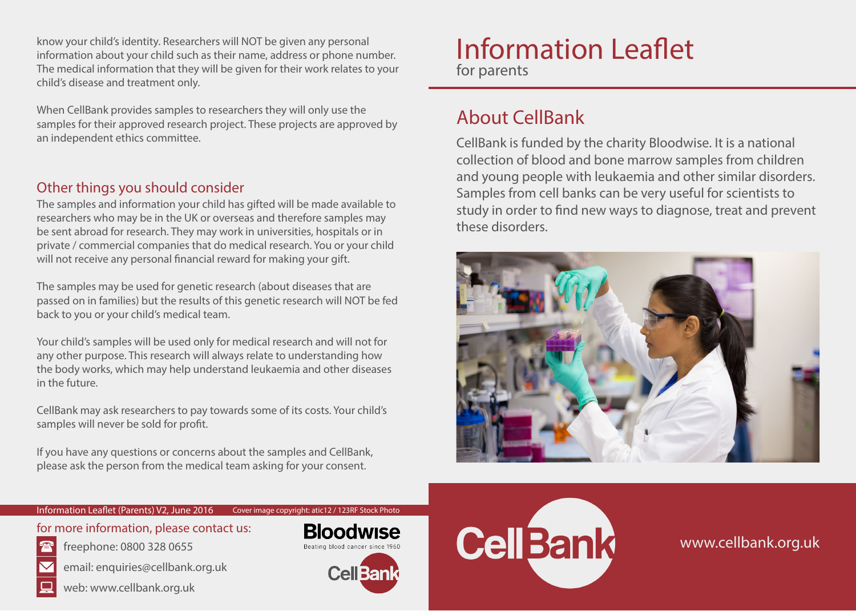know your child's identity. Researchers will NOT be given any personal information about your child such as their name, address or phone number. The medical information that they will be given for their work relates to your child's disease and treatment only.

When CellBank provides samples to researchers they will only use the samples for their approved research project. These projects are approved by an independent ethics committee.

### Other things you should consider

The samples and information your child has gifted will be made available to researchers who may be in the UK or overseas and therefore samples may be sent abroad for research. They may work in universities, hospitals or in private / commercial companies that do medical research. You or your child will not receive any personal financial reward for making your gift.

The samples may be used for genetic research (about diseases that are passed on in families) but the results of this genetic research will NOT be fed back to you or your child's medical team.

Your child's samples will be used only for medical research and will not for any other purpose. This research will always relate to understanding how the body works, which may help understand leukaemia and other diseases in the future.

CellBank may ask researchers to pay towards some of its costs. Your child's samples will never be sold for profit.

If you have any questions or concerns about the samples and CellBank, please ask the person from the medical team asking for your consent.

# Information Leaflet for parents

## About CellBank

CellBank is funded by the charity Bloodwise. It is a national collection of blood and bone marrow samples from children and young people with leukaemia and other similar disorders. Samples from cell banks can be very useful for scientists to study in order to find new ways to diagnose, treat and prevent these disorders.



#### Information Leaflet (Parents) V2, June 2016

for more information, please contact us:

freephone: 0800 328 0655







Cover image copyright: atic12 / 123RF Stock Photo





www.cellbank.org.uk